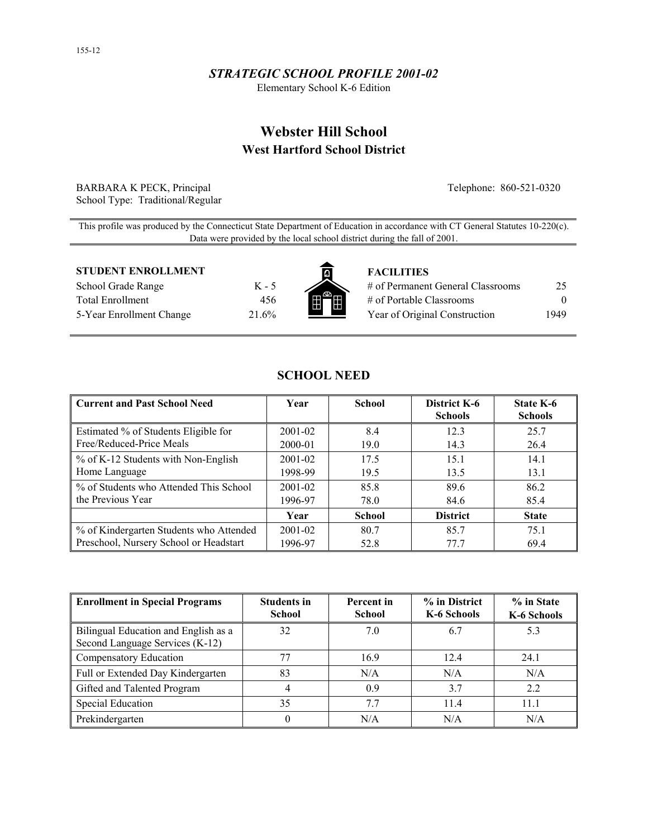## *STRATEGIC SCHOOL PROFILE 2001-02*

Elementary School K-6 Edition

# **Webster Hill School West Hartford School District**

BARBARA K PECK, Principal Telephone: 860-521-0320 School Type: Traditional/Regular

This profile was produced by the Connecticut State Department of Education in accordance with CT General Statutes 10-220(c). Data were provided by the local school district during the fall of 2001.

#### **STUDENT ENROLLMENT FACILITIES**

School Grade Range K - 5 Total Enrollment 456 5-Year Enrollment Change 21.6%



| # of Permanent General Classrooms | 25       |
|-----------------------------------|----------|
| # of Portable Classrooms          | $\theta$ |
| Year of Original Construction     | 1949     |

| Current and Past School Need            | Year        | <b>School</b> | District K-6<br><b>Schools</b> | State K-6<br><b>Schools</b> |
|-----------------------------------------|-------------|---------------|--------------------------------|-----------------------------|
| Estimated % of Students Eligible for    | 2001-02     | 8.4           | 12.3                           | 25.7                        |
| Free/Reduced-Price Meals                | 2000-01     | 19.0          | 14.3                           | 26.4                        |
| % of K-12 Students with Non-English     | $2001 - 02$ | 17.5          | 15.1                           | 14.1                        |
| Home Language                           | 1998-99     | 19.5          | 13.5                           | 13.1                        |
| % of Students who Attended This School  | $2001 - 02$ | 85.8          | 89.6                           | 86.2                        |
| the Previous Year                       | 1996-97     | 78.0          | 84.6                           | 85.4                        |
|                                         | Year        | <b>School</b> | <b>District</b>                | <b>State</b>                |
| % of Kindergarten Students who Attended | $2001 - 02$ | 80.7          | 85.7                           | 75.1                        |
| Preschool, Nursery School or Headstart  | 1996-97     | 52.8          | 77.7                           | 69.4                        |

**SCHOOL NEED** 

| <b>Enrollment in Special Programs</b>                                   | <b>Students in</b><br><b>School</b> | Percent in<br><b>School</b> | % in District<br>K-6 Schools | % in State<br>K-6 Schools |
|-------------------------------------------------------------------------|-------------------------------------|-----------------------------|------------------------------|---------------------------|
| Bilingual Education and English as a<br>Second Language Services (K-12) | 32                                  | 7.0                         | 6.7                          | 5.3                       |
| Compensatory Education                                                  |                                     | 16.9                        | 12.4                         | 24.1                      |
| Full or Extended Day Kindergarten                                       | 83                                  | N/A                         | N/A                          | N/A                       |
| Gifted and Talented Program                                             |                                     | 0.9                         | 3.7                          | 2.2                       |
| <b>Special Education</b>                                                | 35                                  | 7.7                         | 11.4                         | 11.1                      |
| Prekindergarten                                                         | 0                                   | N/A                         | N/A                          | N/A                       |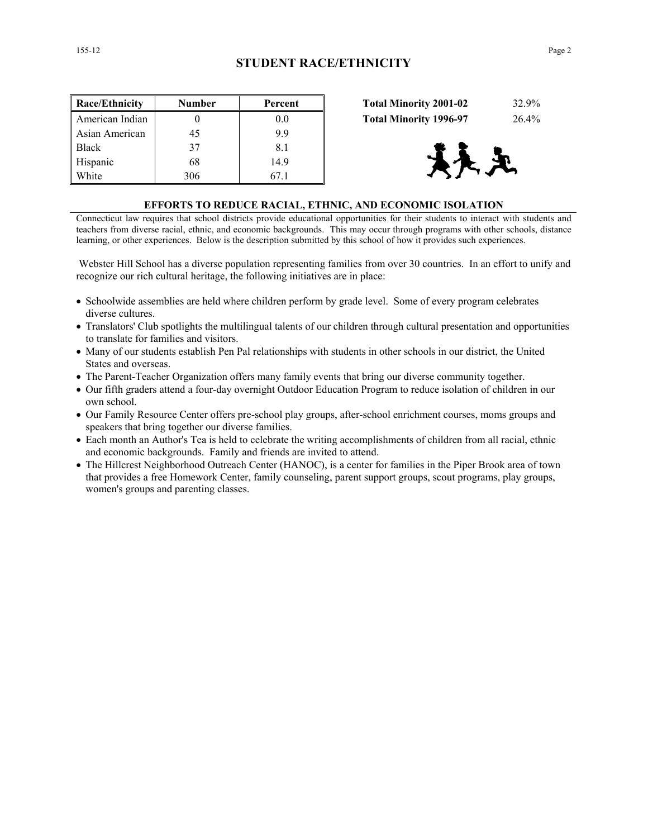| Race/Ethnicity  | Number | Percent | <b>Total Minority 2001-02</b><br>32.9% |
|-----------------|--------|---------|----------------------------------------|
| American Indian |        | 0.0     | <b>Total Minority 1996-97</b><br>26.4% |
| Asian American  | 45     | 9.9     |                                        |
| <b>Black</b>    | 37     | 8.1     |                                        |
| Hispanic        | 68     | 14.9    | 大足                                     |
| White           | 306    | 67.1    |                                        |

| <b>Total Minority 2001-02</b> | 32.9% |
|-------------------------------|-------|
| <b>Total Minority 1996-97</b> | 26.4% |



#### **EFFORTS TO REDUCE RACIAL, ETHNIC, AND ECONOMIC ISOLATION**

Connecticut law requires that school districts provide educational opportunities for their students to interact with students and teachers from diverse racial, ethnic, and economic backgrounds. This may occur through programs with other schools, distance learning, or other experiences. Below is the description submitted by this school of how it provides such experiences.

 Webster Hill School has a diverse population representing families from over 30 countries. In an effort to unify and recognize our rich cultural heritage, the following initiatives are in place:

- Schoolwide assemblies are held where children perform by grade level. Some of every program celebrates diverse cultures.
- Translators' Club spotlights the multilingual talents of our children through cultural presentation and opportunities to translate for families and visitors.
- Many of our students establish Pen Pal relationships with students in other schools in our district, the United States and overseas.
- The Parent-Teacher Organization offers many family events that bring our diverse community together.
- Our fifth graders attend a four-day overnight Outdoor Education Program to reduce isolation of children in our own school.
- Our Family Resource Center offers pre-school play groups, after-school enrichment courses, moms groups and speakers that bring together our diverse families.
- Each month an Author's Tea is held to celebrate the writing accomplishments of children from all racial, ethnic and economic backgrounds. Family and friends are invited to attend.
- The Hillcrest Neighborhood Outreach Center (HANOC), is a center for families in the Piper Brook area of town that provides a free Homework Center, family counseling, parent support groups, scout programs, play groups, women's groups and parenting classes.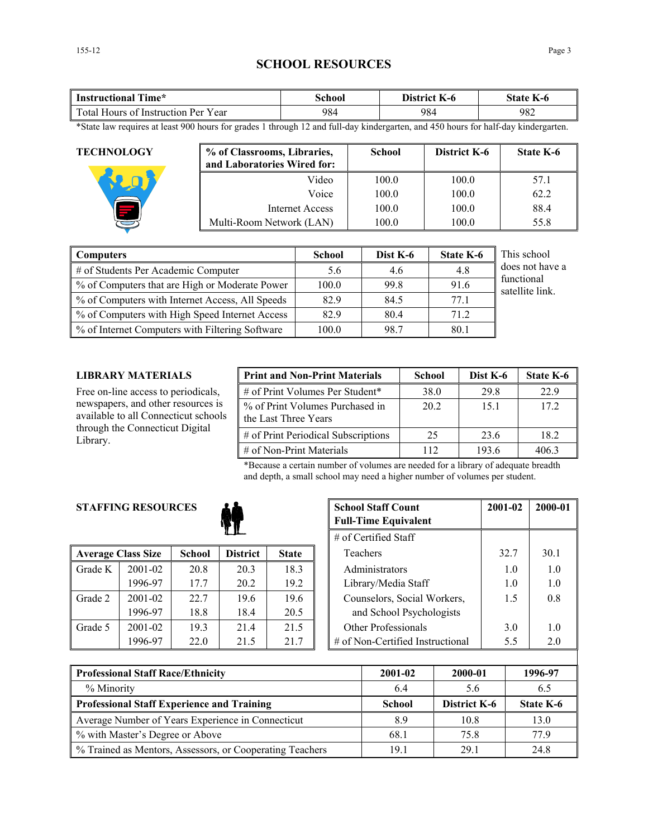## **SCHOOL RESOURCES**

| <b>Instructional Time*</b>          | School | District K-6 | <b>State K-6</b> |  |
|-------------------------------------|--------|--------------|------------------|--|
| Total Hours of Instruction Per Year | 984    | 984          | 982              |  |

\*State law requires at least 900 hours for grades 1 through 12 and full-day kindergarten, and 450 hours for half-day kindergarten.

| <b>TECHNOLOGY</b> | % of Classrooms, Libraries,<br>and Laboratories Wired for: | <b>School</b> | District K-6 | <b>State K-6</b> |
|-------------------|------------------------------------------------------------|---------------|--------------|------------------|
|                   | Video                                                      | 100.0         | 100.0        | 57.1             |
|                   | Voice                                                      | 100.0         | 100.0        | 62.2             |
|                   | Internet Access                                            | 100.0         | 100.0        | 88.4             |
|                   | Multi-Room Network (LAN)                                   | 100.0         | 100.0        | 55.8             |

| <b>Computers</b>                                | <b>School</b> | Dist K-6 | <b>State K-6</b> | This school                   |
|-------------------------------------------------|---------------|----------|------------------|-------------------------------|
| # of Students Per Academic Computer             | 5.6           | 4.6      | 4.8              | does not have a               |
| % of Computers that are High or Moderate Power  | 100.0         | 99.8     | 91.6             | functional<br>satellite link. |
| % of Computers with Internet Access, All Speeds | 82.9          | 84.5     | 77.1             |                               |
| % of Computers with High Speed Internet Access  | 82.9          | 80.4     | 71.2             |                               |
| % of Internet Computers with Filtering Software | 100.0         | 98.7     | 80.1             |                               |

#### **LIBRARY MATERIALS**

Free on-line access to periodicals, newspapers, and other resources is available to all Connecticut schools through the Connecticut Digital Library.

| <b>Print and Non-Print Materials</b>                    | <b>School</b> | Dist K-6 | State K-6 |
|---------------------------------------------------------|---------------|----------|-----------|
| # of Print Volumes Per Student*                         | 38.0          | 29.8     | 22.9      |
| % of Print Volumes Purchased in<br>the Last Three Years | 20 2          | 15.1     | 172       |
| # of Print Periodical Subscriptions                     | 25            | 23.6     | 18.2      |
| $\#$ of Non-Print Materials                             | 112           | 193.6    | 4063      |

\*Because a certain number of volumes are needed for a library of adequate breadth and depth, a small school may need a higher number of volumes per student.

## **STAFFING RESOURCES**



|         |                           |               |                 |              | $\mu$ of centrica bian           |      |  |
|---------|---------------------------|---------------|-----------------|--------------|----------------------------------|------|--|
|         | <b>Average Class Size</b> | <b>School</b> | <b>District</b> | <b>State</b> | Teachers                         | 32.7 |  |
| Grade K | 2001-02                   | 20.8          | 20.3            | 18.3         | Administrators                   | 1.0  |  |
|         | 1996-97                   | 17.7          | 20.2            | 19.2         | Library/Media Staff              | 1.0  |  |
| Grade 2 | $2001 - 02$               | 22.7          | 19.6            | 19.6         | Counselors, Social Workers,      | 1.5  |  |
|         | 1996-97                   | 18.8          | 18.4            | 20.5         | and School Psychologists         |      |  |
| Grade 5 | 2001-02                   | 19.3          | 214             | 21.5         | Other Professionals              | 3.0  |  |
|         | 1996-97                   | 22.0          | 21.5            | 21.7         | # of Non-Certified Instructional | 5.5  |  |

| <b>RESOURCES</b> |               | <b>School Staff Count</b><br><b>Full-Time Equivalent</b> | 2001-02                | 2000-01                     |                                     |      |      |
|------------------|---------------|----------------------------------------------------------|------------------------|-----------------------------|-------------------------------------|------|------|
|                  |               |                                                          | $#$ of Certified Staff |                             |                                     |      |      |
| ass Size         | <b>School</b> | <b>District</b>                                          | <b>State</b>           |                             | Teachers                            | 32.7 | 30.1 |
| 2001-02          | 20.8          | 20.3                                                     | 18.3                   |                             | Administrators                      | 1.0  | 1.0  |
| 1996-97          | 17.7          | 20.2                                                     | 19.2                   |                             | Library/Media Staff                 | 1.0  | 1.0  |
| 2001-02          | 22.7          | 19.6                                                     | 19.6                   | Counselors, Social Workers, |                                     | 1.5  | 0.8  |
| 1996-97          | 18.8          | 18.4                                                     | 20.5                   |                             | and School Psychologists            |      |      |
| 2001-02          | 19.3          | 21.4                                                     | 21.5                   |                             | Other Professionals                 | 3.0  | 1.0  |
| 1996-97          | 22.0          | 21.5                                                     | 21.7                   |                             | $\#$ of Non-Certified Instructional | 5.5  | 2.0  |

| <b>Professional Staff Race/Ethnicity</b>                 | 2001-02       | 2000-01      | 1996-97   |
|----------------------------------------------------------|---------------|--------------|-----------|
| % Minority                                               | 6.4           | 56           | 6.5       |
| <b>Professional Staff Experience and Training</b>        | <b>School</b> | District K-6 | State K-6 |
| Average Number of Years Experience in Connecticut        | 8.9           | 10.8         | 13.0      |
| % with Master's Degree or Above                          | 68.1          | 75.8         | 77 9      |
| % Trained as Mentors, Assessors, or Cooperating Teachers | 19.1          | 29.1         | 24.8      |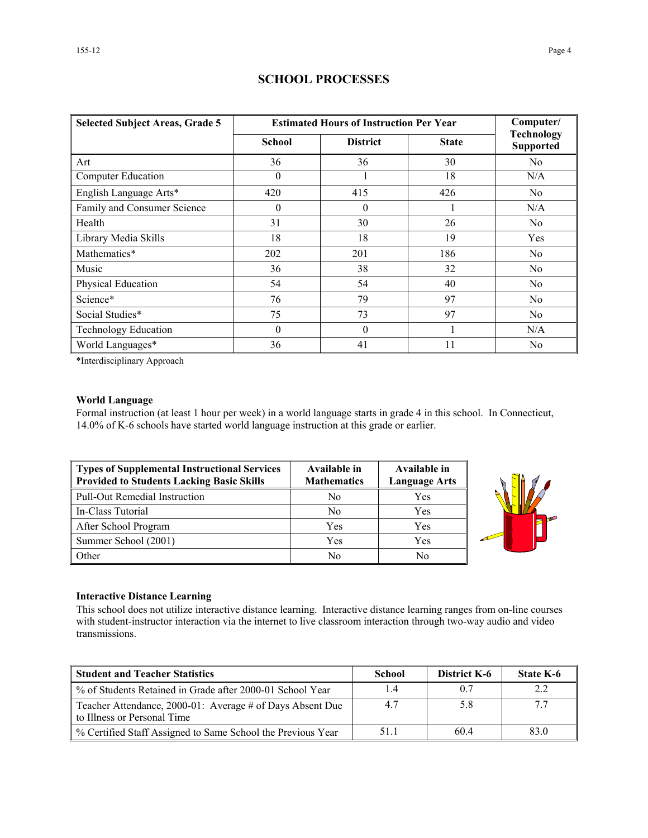| <b>Selected Subject Areas, Grade 5</b> | <b>Estimated Hours of Instruction Per Year</b> | Computer/       |              |                                       |  |
|----------------------------------------|------------------------------------------------|-----------------|--------------|---------------------------------------|--|
|                                        | <b>School</b>                                  | <b>District</b> | <b>State</b> | <b>Technology</b><br><b>Supported</b> |  |
| Art                                    | 36                                             | 36              | 30           | No                                    |  |
| <b>Computer Education</b>              | $\theta$                                       |                 | 18           | N/A                                   |  |
| English Language Arts*                 | 420                                            | 415             | 426          | No                                    |  |
| Family and Consumer Science            | $\theta$                                       | $\theta$        |              | N/A                                   |  |
| Health                                 | 31                                             | 30              | 26           | N <sub>0</sub>                        |  |
| Library Media Skills                   | 18                                             | 18              | 19           | Yes                                   |  |
| Mathematics*                           | 202                                            | 201             | 186          | No                                    |  |
| Music                                  | 36                                             | 38              | 32           | No                                    |  |
| Physical Education                     | 54                                             | 54              | 40           | No                                    |  |
| Science*                               | 76                                             | 79              | 97           | N <sub>0</sub>                        |  |
| Social Studies*                        | 75                                             | 73              | 97           | N <sub>0</sub>                        |  |
| <b>Technology Education</b>            | $\mathbf{0}$                                   | $\mathbf{0}$    |              | N/A                                   |  |
| World Languages*                       | 36                                             | 41              | 11           | N <sub>0</sub>                        |  |

## **SCHOOL PROCESSES**

\*Interdisciplinary Approach

#### **World Language**

Formal instruction (at least 1 hour per week) in a world language starts in grade 4 in this school. In Connecticut, 14.0% of K-6 schools have started world language instruction at this grade or earlier.

| Types of Supplemental Instructional Services<br><b>Provided to Students Lacking Basic Skills</b> | Available in<br><b>Mathematics</b> | Available in<br><b>Language Arts</b> |
|--------------------------------------------------------------------------------------------------|------------------------------------|--------------------------------------|
| Pull-Out Remedial Instruction                                                                    | No                                 | Yes                                  |
| In-Class Tutorial                                                                                | N <sub>0</sub>                     | Yes                                  |
| After School Program                                                                             | Yes                                | Yes                                  |
| Summer School (2001)                                                                             | Yes                                | Yes                                  |
| <b>Other</b>                                                                                     | No                                 | No                                   |



#### **Interactive Distance Learning**

This school does not utilize interactive distance learning. Interactive distance learning ranges from on-line courses with student-instructor interaction via the internet to live classroom interaction through two-way audio and video transmissions.

| <b>Student and Teacher Statistics</b>                                                    | School | <b>District K-6</b> | <b>State K-6</b> |
|------------------------------------------------------------------------------------------|--------|---------------------|------------------|
| ■ % of Students Retained in Grade after 2000-01 School Year                              |        | 0.7                 |                  |
| Teacher Attendance, 2000-01: Average # of Days Absent Due<br>to Illness or Personal Time | 4.7    | 5.8                 |                  |
| ■ % Certified Staff Assigned to Same School the Previous Year                            | 51.1   | 604                 | 83.0             |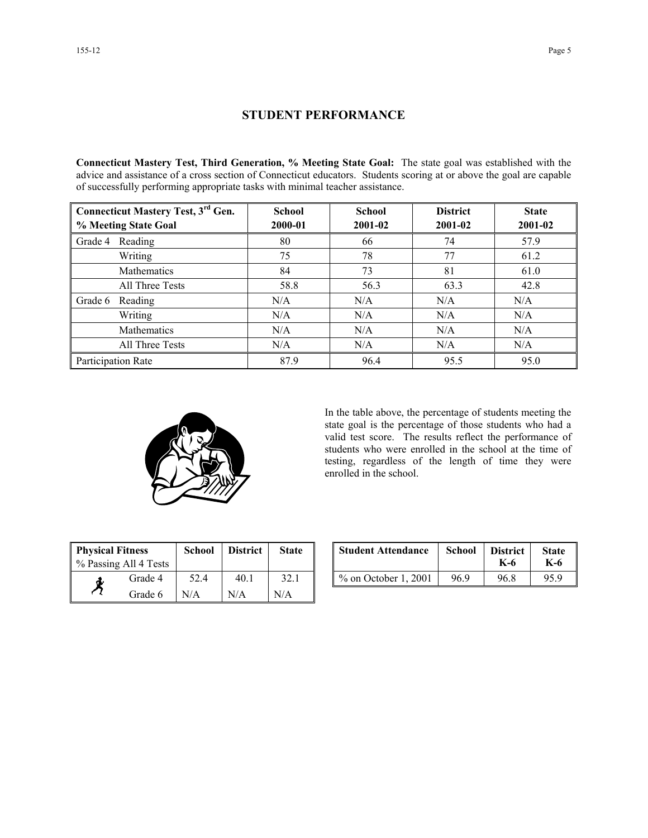#### **STUDENT PERFORMANCE**

**Connecticut Mastery Test, Third Generation, % Meeting State Goal:** The state goal was established with the advice and assistance of a cross section of Connecticut educators. Students scoring at or above the goal are capable of successfully performing appropriate tasks with minimal teacher assistance.

| <b>Connecticut Mastery Test, 3rd Gen.</b> | <b>School</b> | <b>School</b> | <b>District</b> | <b>State</b> |
|-------------------------------------------|---------------|---------------|-----------------|--------------|
| % Meeting State Goal                      | 2000-01       | 2001-02       | 2001-02         | 2001-02      |
| Reading<br>Grade 4                        | 80            | 66            | 74              | 57.9         |
| Writing                                   | 75            | 78            | 77              | 61.2         |
| <b>Mathematics</b>                        | 84            | 73            | 81              | 61.0         |
| All Three Tests                           | 58.8          | 56.3          | 63.3            | 42.8         |
| Grade 6<br>Reading                        | N/A           | N/A           | N/A             | N/A          |
| Writing                                   | N/A           | N/A           | N/A             | N/A          |
| Mathematics                               | N/A           | N/A           | N/A             | N/A          |
| All Three Tests                           | N/A           | N/A           | N/A             | N/A          |
| Participation Rate                        | 87.9          | 96.4          | 95.5            | 95.0         |



In the table above, the percentage of students meeting the state goal is the percentage of those students who had a valid test score. The results reflect the performance of students who were enrolled in the school at the time of testing, regardless of the length of time they were enrolled in the school.

| <b>Physical Fitness</b><br>% Passing All 4 Tests |         | <b>School</b> | <b>District</b> | <b>State</b> |
|--------------------------------------------------|---------|---------------|-----------------|--------------|
| đ.                                               | Grade 4 | 52.4          | 40.1            | 32.1         |
|                                                  | Grade 6 | N/A           | N/A             | N/A          |

| ness<br>ll 4 Tests | School | <b>District</b> | <b>State</b> | <b>Student Attendance</b> | School | <b>District</b><br>K-6 | <b>State</b><br>K-6 |
|--------------------|--------|-----------------|--------------|---------------------------|--------|------------------------|---------------------|
| Grade 4            | 52.4   | 40.1            | 32.1         | $\%$ on October 1, 2001   | 96.9   | 96.8                   | 95.9                |